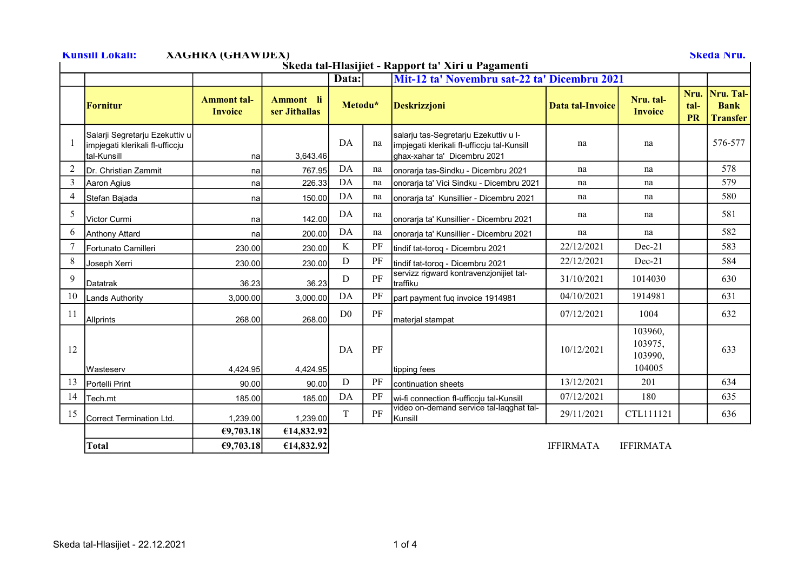## Kunsill Lokali: XAGHRA (GHAWDEX) Skeda Nru.

Skeda tal-Ħlasijiet - Rapport ta' Xiri u Pagamenti

| Skega tai-Hiasijiet - Kapport ta "Airi u Pagamenti" |                                                                                   |                                      |                            |                |                                              |                                                                                                                      |                         |                                         |                           |                                             |  |
|-----------------------------------------------------|-----------------------------------------------------------------------------------|--------------------------------------|----------------------------|----------------|----------------------------------------------|----------------------------------------------------------------------------------------------------------------------|-------------------------|-----------------------------------------|---------------------------|---------------------------------------------|--|
|                                                     |                                                                                   |                                      |                            | Data:          | Mit-12 ta' Novembru sat-22 ta' Dicembru 2021 |                                                                                                                      |                         |                                         |                           |                                             |  |
|                                                     | <b>Fornitur</b>                                                                   | <b>Ammont tal-</b><br><b>Invoice</b> | Ammont li<br>ser Jithallas | Metodu*        |                                              | <b>Deskrizzjoni</b>                                                                                                  | <b>Data tal-Invoice</b> | Nru. tal-<br><b>Invoice</b>             | Nru.<br>tal-<br><b>PR</b> | Nru. Tal-<br><b>Bank</b><br><b>Transfer</b> |  |
|                                                     | Salarji Segretarju Ezekuttiv u<br>impjegati klerikali fl-ufficcju<br>İtal-Kunsill | nal                                  | 3,643.46                   | DA             | na                                           | salarju tas-Segretarju Ezekuttiv u I-<br>impjegati klerikali fl-ufficcju tal-Kunsill<br>ghax-xahar ta' Dicembru 2021 | na                      | na                                      |                           | 576-577                                     |  |
| $\overline{2}$                                      | <b>I</b> Dr. Christian Zammit                                                     | nal                                  | 767.95                     | DA             | na                                           | onorarja tas-Sindku - Dicembru 2021                                                                                  | na                      | na                                      |                           | 578                                         |  |
| 3                                                   | Aaron Agius                                                                       | nal                                  | 226.33                     | DA             | na                                           | onorarja ta' Vici Sindku - Dicembru 2021                                                                             | na                      | na                                      |                           | 579                                         |  |
| $\overline{4}$                                      | Stefan Bajada                                                                     | nal                                  | 150.00                     | DA             | na                                           | onorarja ta' Kunsillier - Dicembru 2021                                                                              | na                      | na                                      |                           | 580                                         |  |
| 5                                                   | Victor Curmi                                                                      | na                                   | 142.00                     | DA             | na                                           | onorarja ta' Kunsillier - Dicembru 2021                                                                              | na                      | na                                      |                           | 581                                         |  |
| 6                                                   | Anthony Attard                                                                    | nal                                  | 200.00                     | DA             | na                                           | onorarja ta' Kunsillier - Dicembru 2021                                                                              | na                      | na                                      |                           | 582                                         |  |
|                                                     | Fortunato Camilleri                                                               | 230.00                               | 230.00                     | K              | PF                                           | tindif tat-torog - Dicembru 2021                                                                                     | 22/12/2021              | $Dec-21$                                |                           | 583                                         |  |
| 8                                                   | Joseph Xerri                                                                      | 230.00                               | 230.00                     | D              | PF                                           | tindif tat-toroq - Dicembru 2021                                                                                     | 22/12/2021              | $Dec-21$                                |                           | 584                                         |  |
| 9                                                   | <b>I</b> Datatrak                                                                 | 36.23                                | 36.23                      | D              | PF                                           | servizz rigward kontravenzjonijiet tat-<br>traffiku                                                                  | 31/10/2021              | 1014030                                 |                           | 630                                         |  |
| 10                                                  | <b>Lands Authority</b>                                                            | 3,000.00                             | 3,000.00                   | DA             | PF                                           | part payment fuq invoice 1914981                                                                                     | 04/10/2021              | 1914981                                 |                           | 631                                         |  |
| <sup>11</sup>                                       | Allprints                                                                         | 268.00                               | 268.00                     | D <sub>0</sub> | PF                                           | material stampat                                                                                                     | 07/12/2021              | 1004                                    |                           | 632                                         |  |
| 12                                                  | Wasteserv                                                                         | 4.424.95                             | 4,424.95                   | DA             | PF                                           | tipping fees                                                                                                         | 10/12/2021              | 103960,<br>103975,<br>103990.<br>104005 |                           | 633                                         |  |
| 13                                                  | Portelli Print                                                                    | 90.00                                | 90.00                      | D              | PF                                           | continuation sheets                                                                                                  | 13/12/2021              | 201                                     |                           | 634                                         |  |
| 14                                                  | Tech.mt                                                                           | 185.00                               | 185.00                     | DA             | PF                                           | wi-fi connection fl-ufficcju tal-Kunsill                                                                             | 07/12/2021              | 180                                     |                           | 635                                         |  |
| 15                                                  | Correct Termination Ltd.                                                          | 1,239.00                             | 1,239.00                   | T              | PF                                           | video on-demand service tal-laqghat tal-<br>Kunsill                                                                  | 29/11/2021              | CTL111121                               |                           | 636                                         |  |
|                                                     |                                                                                   | €9,703.18                            | €14,832.92                 |                |                                              |                                                                                                                      |                         |                                         |                           |                                             |  |
|                                                     | <b>Total</b>                                                                      | €9,703.18                            | €14,832.92                 |                |                                              |                                                                                                                      | <b>IFFIRMATA</b>        | <b>IFFIRMATA</b>                        |                           |                                             |  |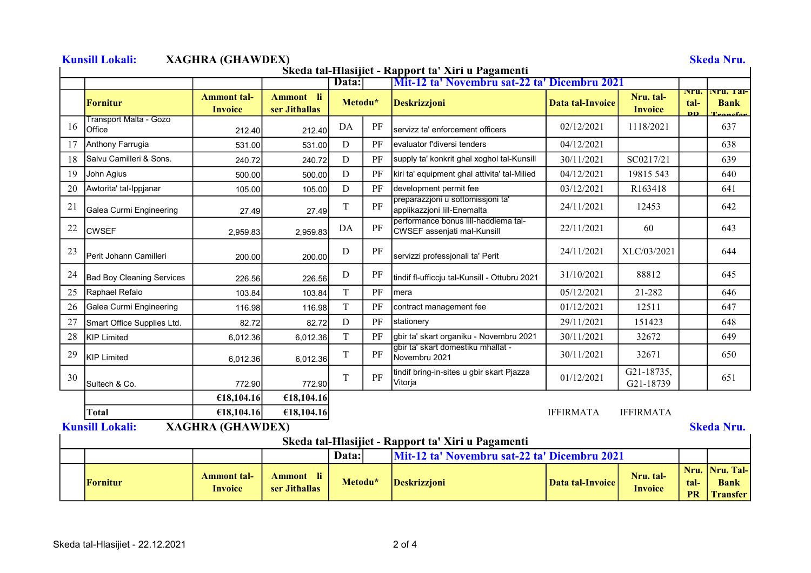|    |                                  | Śkeda tal-Hlasijiet - Rapport ta' Xiri u Pagamenti<br>Mit-12 ta' Novembru sat-22 ta' Dicembru 2021<br>Data: |                            |             |    |                                                                                                    |                         |                             |                            |                                               |
|----|----------------------------------|-------------------------------------------------------------------------------------------------------------|----------------------------|-------------|----|----------------------------------------------------------------------------------------------------|-------------------------|-----------------------------|----------------------------|-----------------------------------------------|
|    | <b>Fornitur</b>                  | <b>Ammont tal-</b><br><b>Invoice</b>                                                                        | Ammont li<br>ser Jithallas | Metodu*     |    | <b>Deskrizzjoni</b>                                                                                | Data tal-Invoice        | Nru. tal-<br><b>Invoice</b> | <b>Nru.</b><br>tal-<br>DD. | <u> Nru. 1 al-</u><br><b>Bank</b><br>Transfor |
| 16 | Transport Malta - Gozo<br>Office | 212.40                                                                                                      | 212.40                     | DA          | PF | Iservizz ta' enforcement officers                                                                  | 02/12/2021              | 1118/2021                   |                            | 637                                           |
|    | Anthony Farrugia                 | 531.00                                                                                                      | 531.00                     | D           | PF | Ievaluator f'diversi tenders                                                                       | 04/12/2021              |                             |                            | 638                                           |
| 18 | Salvu Camilleri & Sons.          | 240.72                                                                                                      | 240.72                     | D           | PF | supply ta' konkrit ghal xoghol tal-Kunsill                                                         | 30/11/2021              | SC0217/21                   |                            | 639                                           |
| 19 | John Agius                       | 500.00                                                                                                      | 500.00                     | D           | PF | kiri ta' equipment ghal attivita' tal-Milied                                                       | 04/12/2021              | 19815 543                   |                            | 640                                           |
| 20 | Awtorita' tal-Ippjanar           | 105.00                                                                                                      | 105.00                     | $\mathbf D$ | PF | development permit fee                                                                             | 03/12/2021              | R163418                     |                            | 641                                           |
| 21 | Galea Curmi Engineering          | 27.49                                                                                                       | 27.49                      | T           | PF | preparazzjoni u sottomissjoni ta'<br>applikazzjoni lill-Enemalta                                   | 24/11/2021              | 12453                       |                            | 642                                           |
| 22 | <b>CWSEF</b>                     | 2,959.83                                                                                                    | 2,959.83                   | DA          | PF | performance bonus lill-haddiema tal-<br>CWSEF assenjati mal-Kunsill                                | 22/11/2021              | 60                          |                            | 643                                           |
| 23 | Perit Johann Camilleri           | 200.00                                                                                                      | 200.00                     | D           | PF | servizzi professjonali ta' Perit                                                                   | 24/11/2021              | XLC/03/2021                 |                            | 644                                           |
| 24 | <b>Bad Boy Cleaning Services</b> | 226.56                                                                                                      | 226.56                     | D           | PF | tindif fl-ufficcju tal-Kunsill - Ottubru 2021                                                      | 31/10/2021              | 88812                       |                            | 645                                           |
| 25 | Raphael Refalo                   | 103.84                                                                                                      | 103.84                     | $\mathbf T$ | PF | <b>Imera</b>                                                                                       | 05/12/2021              | 21-282                      |                            | 646                                           |
| 26 | Galea Curmi Engineering          | 116.98                                                                                                      | 116.98                     | $\mathbf T$ | PF | contract management fee                                                                            | 01/12/2021              | 12511                       |                            | 647                                           |
| 27 | Smart Office Supplies Ltd.       | 82.72                                                                                                       | 82.72                      | D           | PF | stationery                                                                                         | 29/11/2021              | 151423                      |                            | 648                                           |
| 28 | KIP Limited                      | 6,012.36                                                                                                    | 6,012.36                   | $\mathbf T$ | PF | gbir ta' skart organiku - Novembru 2021                                                            | 30/11/2021              | 32672                       |                            | 649                                           |
| 29 | <b>KIP Limited</b>               | 6,012.36                                                                                                    | 6,012.36                   | T           | PF | gbir ta' skart domestiku mhallat -<br>Novembru 2021                                                | 30/11/2021              | 32671                       |                            | 650                                           |
| 30 | Sultech & Co.                    | 772.90                                                                                                      | 772.90                     | T           | PF | tindif bring-in-sites u gbir skart Pjazza<br>Vitorja                                               | 01/12/2021              | G21-18735,<br>G21-18739     |                            | 651                                           |
|    |                                  | €18,104.16                                                                                                  | €18,104.16                 |             |    |                                                                                                    |                         |                             |                            |                                               |
|    | <b>Total</b>                     | €18,104.16                                                                                                  | €18,104.16                 |             |    |                                                                                                    | <b>IFFIRMATA</b>        | <b>IFFIRMATA</b>            |                            |                                               |
|    | <b>Kunsill Lokali:</b>           | <b>XAGHRA (GHAWDEX)</b>                                                                                     |                            |             |    |                                                                                                    |                         |                             |                            | <b>Skeda Nru.</b>                             |
|    |                                  |                                                                                                             |                            | Data:       |    | Skeda tal-Hlasijiet - Rapport ta' Xiri u Pagamenti<br>Mit-12 ta' Novembru sat-22 ta' Dicembru 2021 |                         |                             |                            |                                               |
|    | <b>Fornitur</b>                  | <b>Ammont tal-</b><br><b>Invoice</b>                                                                        | Ammont li<br>ser Jithallas | Metodu*     |    | <b>Deskrizzjoni</b>                                                                                | <b>Data tal-Invoice</b> | Nru. tal-<br><b>Invoice</b> | Nru.<br>tal-<br><b>PR</b>  | Nru. Tal-<br><b>Bank</b><br>Transfer          |

## Skeda tal-Hlasijiet - 22.12.2021 2 of 4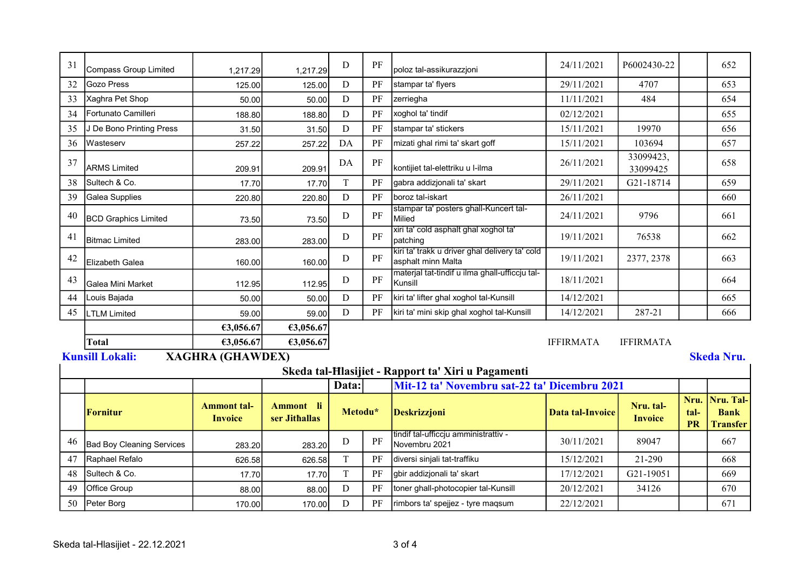| 31 | <b>Compass Group Limited</b>     | 1,217.29                             | 1.217.29                   | D           | PF | poloz tal-assikurazzjoni                                             | 24/11/2021              | P6002430-22                 |                           | 652                                         |
|----|----------------------------------|--------------------------------------|----------------------------|-------------|----|----------------------------------------------------------------------|-------------------------|-----------------------------|---------------------------|---------------------------------------------|
| 32 | <b>Gozo Press</b>                | 125.00                               | 125.00                     | ${\rm D}$   | PF | stampar ta' flyers                                                   | 29/11/2021              | 4707                        |                           | 653                                         |
| 33 | Xaghra Pet Shop                  | 50.00                                | 50.00                      | $\mathbf D$ | PF | zerriegha                                                            | 11/11/2021              | 484                         |                           | 654                                         |
| 34 | Fortunato Camilleri              | 188.80                               | 188.80                     | $\mathbf D$ | PF | xoghol ta' tindif                                                    | 02/12/2021              |                             |                           | 655                                         |
| 35 | J De Bono Printing Press         | 31.50                                | 31.50                      | ${\bf D}$   | PF | stampar ta' stickers                                                 | 15/11/2021              | 19970                       |                           | 656                                         |
| 36 | Wasteserv                        | 257.22                               | 257.22                     | DA          | PF | mizati ghal rimi ta' skart goff                                      | 15/11/2021              | 103694                      |                           | 657                                         |
| 37 | <b>ARMS Limited</b>              | 209.91                               | 209.91                     | DA          | PF | kontijiet tal-elettriku u l-ilma                                     | 26/11/2021              | 33099423,<br>33099425       |                           | 658                                         |
| 38 | Sultech & Co.                    | 17.70                                | 17.70                      | $\mathbf T$ | PF | gabra addizjonali ta' skart                                          | 29/11/2021              | G21-18714                   |                           | 659                                         |
| 39 | <b>Galea Supplies</b>            | 220.80                               | 220.80                     | $\mathbf D$ | PF | boroz tal-iskart                                                     | 26/11/2021              |                             |                           | 660                                         |
| 40 | <b>BCD Graphics Limited</b>      | 73.50                                | 73.50                      | D           | PF | stampar ta' posters ghall-Kuncert tal-<br>Milied                     | 24/11/2021              | 9796                        |                           | 661                                         |
| 41 | <b>Bitmac Limited</b>            | 283.00                               | 283.00                     | $\mathbf D$ | PF | xiri ta' cold asphalt ghal xoghol ta'<br>patching                    | 19/11/2021              | 76538                       |                           | 662                                         |
| 42 | Elizabeth Galea                  | 160.00                               | 160.00                     | D           | PF | kiri ta' trakk u driver ghal delivery ta' cold<br>asphalt minn Malta | 19/11/2021              | 2377, 2378                  |                           | 663                                         |
| 43 | Galea Mini Market                | 112.95                               | 112.95                     | D           | PF | materjal tat-tindif u ilma ghall-ufficcju tal-<br>Kunsill            | 18/11/2021              |                             |                           | 664                                         |
| 44 | Louis Bajada                     | 50.00                                | 50.00                      | $\mathbf D$ | PF | kiri ta' lifter ghal xoghol tal-Kunsill                              | 14/12/2021              |                             |                           | 665                                         |
| 45 | <b>LTLM Limited</b>              | 59.00                                | 59.00                      | D           | PF | kiri ta' mini skip ghal xoghol tal-Kunsill                           | 14/12/2021              | 287-21                      |                           | 666                                         |
|    |                                  | €3,056.67                            | €3,056.67                  |             |    |                                                                      |                         |                             |                           |                                             |
|    | <b>Total</b>                     | €3,056.67                            | €3,056.67                  |             |    |                                                                      | <b>IFFIRMATA</b>        | <b>IFFIRMATA</b>            |                           |                                             |
|    | <b>Kunsill Lokali:</b>           | <b>XAGHRA (GHAWDEX)</b>              |                            |             |    |                                                                      |                         |                             |                           | <b>Skeda Nru.</b>                           |
|    |                                  |                                      |                            |             |    | Skeda tal-Hlasijiet - Rapport ta' Xiri u Pagamenti                   |                         |                             |                           |                                             |
|    |                                  |                                      |                            | Data:       |    | Mit-12 ta' Novembru sat-22 ta' Dicembru 2021                         |                         |                             |                           |                                             |
|    | <b>Fornitur</b>                  | <b>Ammont tal-</b><br><b>Invoice</b> | Ammont li<br>ser Jithallas | Metodu*     |    | <b>Deskrizzjoni</b>                                                  | <b>Data tal-Invoice</b> | Nru. tal-<br><b>Invoice</b> | Nru.<br>tal-<br><b>PR</b> | Nru. Tal-<br><b>Bank</b><br><b>Transfer</b> |
| 46 | <b>Bad Boy Cleaning Services</b> | 283.20                               | 283.20                     | D           | PF | tindif tal-ufficcju amministrattiv -<br>Novembru 2021                | 30/11/2021              | 89047                       |                           | 667                                         |
| 47 | Raphael Refalo                   | 626.58                               | 626.58                     | $\mathbf T$ | PF | diversi sinjali tat-traffiku                                         | 15/12/2021              | 21-290                      |                           | 668                                         |
| 48 | Sultech & Co.                    | 17.70                                | 17.70                      | T           | PF | gbir addizjonali ta' skart                                           | 17/12/2021              | G21-19051                   |                           | 669                                         |
| 49 | Office Group                     | 88.00                                | 88.00                      | $\mathbf D$ | PF | toner ghall-photocopier tal-Kunsill                                  | 20/12/2021              | 34126                       |                           | 670                                         |
| 50 | Peter Borg                       | 170.00                               | 170.00                     | $\mathbf D$ | PF | rimbors ta' spejjez - tyre maqsum                                    | 22/12/2021              |                             |                           | 671                                         |